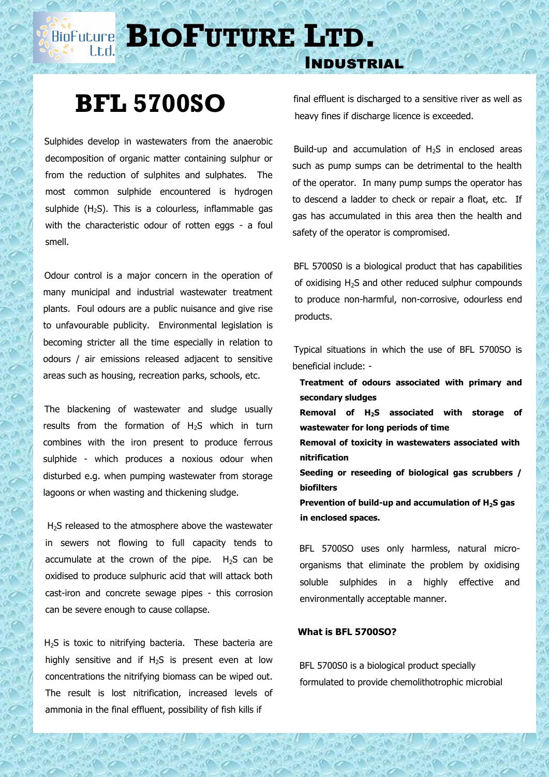## **BIOPUTURE** LTD.

# **BFL 5700SO**

 Sulphides develop in wastewaters from the anaerobic decomposition of organic matter containing sulphur or from the reduction of sulphites and sulphates. The most common sulphide encountered is hydrogen sulphide  $(H<sub>2</sub>S)$ . This is a colourless, inflammable gas with the characteristic odour of rotten eggs - a foul smell.

 Odour control is a major concern in the operation of many municipal and industrial wastewater treatment plants. Foul odours are a public nuisance and give rise to unfavourable publicity. Environmental legislation is becoming stricter all the time especially in relation to odours / air emissions released adjacent to sensitive areas such as housing, recreation parks, schools, etc.

 The blackening of wastewater and sludge usually results from the formation of  $H_2S$  which in turn combines with the iron present to produce ferrous sulphide - which produces a noxious odour when disturbed e.g. when pumping wastewater from storage lagoons or when wasting and thickening sludge.

H<sub>2</sub>S released to the atmosphere above the wastewater in sewers not flowing to full capacity tends to accumulate at the crown of the pipe.  $H_2S$  can be oxidised to produce sulphuric acid that will attack both cast-iron and concrete sewage pipes - this corrosion can be severe enough to cause collapse.

H<sub>2</sub>S is toxic to nitrifying bacteria. These bacteria are highly sensitive and if  $H_2S$  is present even at low concentrations the nitrifying biomass can be wiped out. The result is lost nitrification, increased levels of ammonia in the final effluent, possibility of fish kills if

final effluent is discharged to a sensitive river as well as heavy fines if discharge licence is exceeded.

Industrial

Build-up and accumulation of  $H_2S$  in enclosed areas such as pump sumps can be detrimental to the health of the operator. In many pump sumps the operator has to descend a ladder to check or repair a float, etc. If gas has accumulated in this area then the health and safety of the operator is compromised.

 BFL 5700S0 is a biological product that has capabilities of oxidising  $H_2S$  and other reduced sulphur compounds to produce non-harmful, non-corrosive, odourless end products.

 Typical situations in which the use of BFL 5700SO is beneficial include: -

**Treatment of odours associated with primary and secondary sludges**

 **Removal of H2S associated with storage of wastewater for long periods of time**

 **Removal of toxicity in wastewaters associated with nitrification**

**Seeding or reseeding of biological gas scrubbers / biofilters**

 **Prevention of build-up and accumulation of H2S gas in enclosed spaces.**

 BFL 5700SO uses only harmless, natural microorganisms that eliminate the problem by oxidising soluble sulphides in a highly effective and environmentally acceptable manner.

### **What is BFL 5700SO?**

 BFL 5700S0 is a biological product specially formulated to provide chemolithotrophic microbial